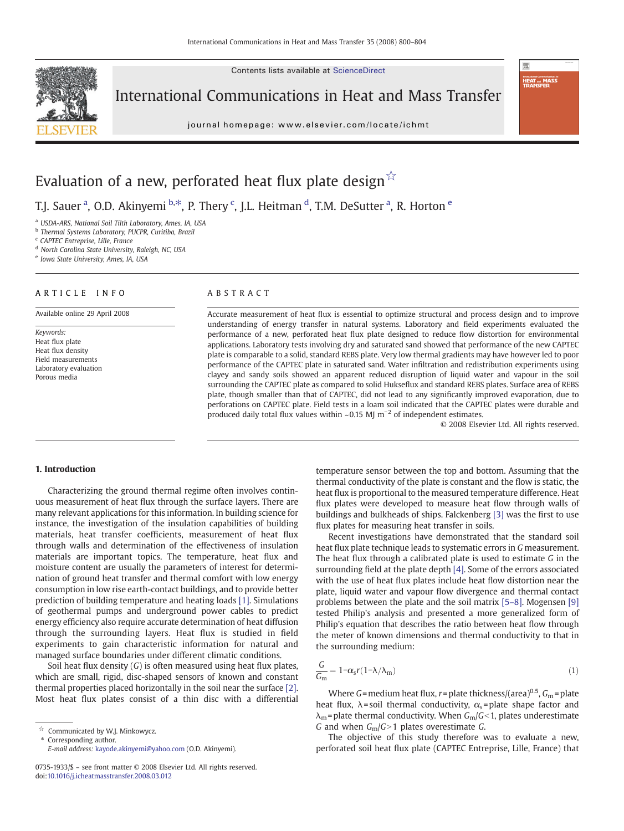Contents lists available at [ScienceDirect](http://www.sciencedirect.com/science/journal/07351933)



International Communications in Heat and Mass Transfer

journal homepage: www.elsevier.com/locate/ichmt



# Evaluation of a new, perforated heat flux plate design $\sqrt[5]{x}$

T.J. Sauer <sup>a</sup>, O.D. Akinyemi <sup>b,\*</sup>, P. Thery <sup>c</sup>, J.L. Heitman <sup>d</sup>, T.M. DeSutter <sup>a</sup>, R. Horton <sup>e</sup>

<sup>a</sup> USDA-ARS, National Soil Tilth Laboratory, Ames, IA, USA

b Thermal Systems Laboratory, PUCPR, Curitiba, Brazil

<sup>c</sup> CAPTEC Entreprise, Lille, France

<sup>d</sup> North Carolina State University, Raleigh, NC, USA

<sup>e</sup> Iowa State University, Ames, IA, USA

#### ARTICLE INFO ABSTRACT

Available online 29 April 2008

Keywords: Heat flux plate Heat flux density Field measurements Laboratory evaluation Porous media

Accurate measurement of heat flux is essential to optimize structural and process design and to improve understanding of energy transfer in natural systems. Laboratory and field experiments evaluated the performance of a new, perforated heat flux plate designed to reduce flow distortion for environmental applications. Laboratory tests involving dry and saturated sand showed that performance of the new CAPTEC plate is comparable to a solid, standard REBS plate. Very low thermal gradients may have however led to poor performance of the CAPTEC plate in saturated sand. Water infiltration and redistribution experiments using clayey and sandy soils showed an apparent reduced disruption of liquid water and vapour in the soil surrounding the CAPTEC plate as compared to solid Hukseflux and standard REBS plates. Surface area of REBS plate, though smaller than that of CAPTEC, did not lead to any significantly improved evaporation, due to perforations on CAPTEC plate. Field tests in a loam soil indicated that the CAPTEC plates were durable and produced daily total flux values within ~0.15 MJ  $m^{-2}$  of independent estimates.

© 2008 Elsevier Ltd. All rights reserved.

### 1. Introduction

Characterizing the ground thermal regime often involves continuous measurement of heat flux through the surface layers. There are many relevant applications for this information. In building science for instance, the investigation of the insulation capabilities of building materials, heat transfer coefficients, measurement of heat flux through walls and determination of the effectiveness of insulation materials are important topics. The temperature, heat flux and moisture content are usually the parameters of interest for determination of ground heat transfer and thermal comfort with low energy consumption in low rise earth-contact buildings, and to provide better prediction of building temperature and heating loads [\[1\]](#page-4-0). Simulations of geothermal pumps and underground power cables to predict energy efficiency also require accurate determination of heat diffusion through the surrounding layers. Heat flux is studied in field experiments to gain characteristic information for natural and managed surface boundaries under different climatic conditions.

Soil heat flux density (G) is often measured using heat flux plates, which are small, rigid, disc-shaped sensors of known and constant thermal properties placed horizontally in the soil near the surface [\[2\].](#page-4-0) Most heat flux plates consist of a thin disc with a differential

⁎ Corresponding author.

E-mail address: [kayode.akinyemi@yahoo.com](mailto:kayode.akinyemi@yahoo.com) (O.D. Akinyemi).

temperature sensor between the top and bottom. Assuming that the thermal conductivity of the plate is constant and the flow is static, the heat flux is proportional to the measured temperature difference. Heat flux plates were developed to measure heat flow through walls of buildings and bulkheads of ships. Falckenberg [\[3\]](#page-4-0) was the first to use flux plates for measuring heat transfer in soils.

Recent investigations have demonstrated that the standard soil heat flux plate technique leads to systematic errors in G measurement. The heat flux through a calibrated plate is used to estimate G in the surrounding field at the plate depth [\[4\].](#page-4-0) Some of the errors associated with the use of heat flux plates include heat flow distortion near the plate, liquid water and vapour flow divergence and thermal contact problems between the plate and the soil matrix [\[5](#page-4-0)–8]. Mogensen [\[9\]](#page-4-0) tested Philip's analysis and presented a more generalized form of Philip's equation that describes the ratio between heat flow through the meter of known dimensions and thermal conductivity to that in the surrounding medium:

$$
\frac{G}{G_m} = 1 - \alpha_s r (1 - \lambda / \lambda_m) \tag{1}
$$

Where G=medium heat flux, r=plate thickness/(area)<sup>0.5</sup>, G<sub>m</sub>=plate heat flux,  $\lambda$ = soil thermal conductivity,  $\alpha_s$ = plate shape factor and  $\lambda_{\rm m}$  = plate thermal conductivity. When  $G_{\rm m}/G$  < 1, plates underestimate G and when  $G_m/G>1$  plates overestimate G.

The objective of this study therefore was to evaluate a new, perforated soil heat flux plate (CAPTEC Entreprise, Lille, France) that

<sup>☆</sup> Communicated by W.J. Minkowycz.

<sup>0735-1933/\$</sup> – see front matter © 2008 Elsevier Ltd. All rights reserved. doi[:10.1016/j.icheatmasstransfer.2008.03.012](http://dx.doi.org/10.1016/j.icheatmasstransfer.2008.03.012)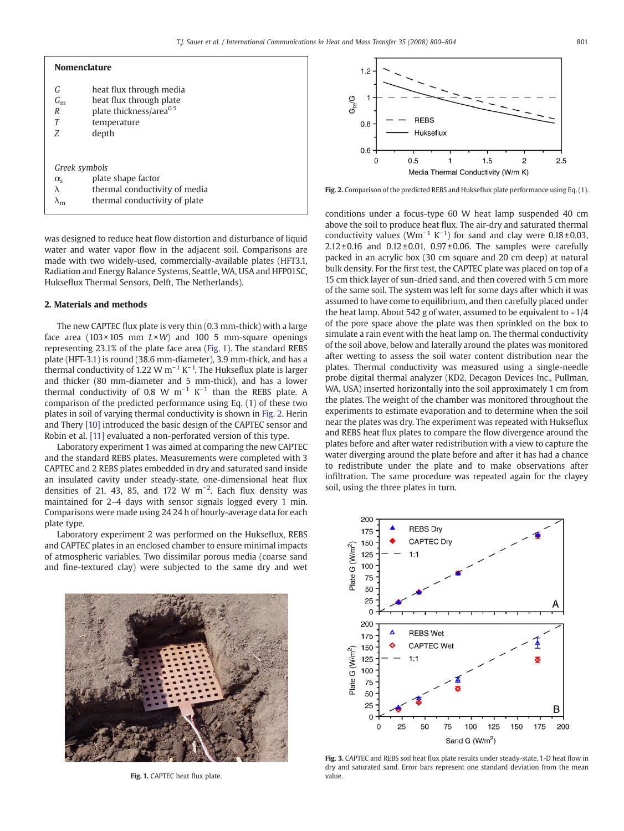<span id="page-1-0"></span>

| <b>Nomenclature</b> |                                     |  |  |  |
|---------------------|-------------------------------------|--|--|--|
| G                   | heat flux through media             |  |  |  |
| $G_{\rm m}$         | heat flux through plate             |  |  |  |
| R                   | plate thickness/area <sup>0.5</sup> |  |  |  |
| T                   | temperature                         |  |  |  |
| Ζ                   | depth                               |  |  |  |
| Greek symbols       | plate shape factor                  |  |  |  |
| $\alpha_{\rm s}$    | thermal conductivity of media       |  |  |  |
| λ                   | thermal conductivity of plate       |  |  |  |

was designed to reduce heat flow distortion and disturbance of liquid water and water vapor flow in the adjacent soil. Comparisons are made with two widely-used, commercially-available plates (HFT3.1, Radiation and Energy Balance Systems, Seattle, WA, USA and HFP01SC, Hukseflux Thermal Sensors, Delft, The Netherlands).

#### 2. Materials and methods

The new CAPTEC flux plate is very thin (0.3 mm-thick) with a large face area (103 $\times$ 105 mm  $L \times W$ ) and 100 5 mm-square openings representing 23.1% of the plate face area (Fig. 1). The standard REBS plate (HFT-3.1) is round (38.6 mm-diameter), 3.9 mm-thick, and has a thermal conductivity of 1.22 W m<sup>-1</sup> K<sup>-1</sup>. The Hukseflux plate is larger and thicker (80 mm-diameter and 5 mm-thick), and has a lower thermal conductivity of 0.8 W m<sup>-1</sup> K<sup>-1</sup> than the REBS plate. A comparison of the predicted performance using Eq. (1) of these two plates in soil of varying thermal conductivity is shown in Fig. 2. Herin and Thery [\[10\]](#page-4-0) introduced the basic design of the CAPTEC sensor and Robin et al. [\[11\]](#page-4-0) evaluated a non-perforated version of this type.

Laboratory experiment 1 was aimed at comparing the new CAPTEC and the standard REBS plates. Measurements were completed with 3 CAPTEC and 2 REBS plates embedded in dry and saturated sand inside an insulated cavity under steady-state, one-dimensional heat flux densities of 21, 43, 85, and 172 W  $\text{m}^{-2}$ . Each flux density was maintained for 2–4 days with sensor signals logged every 1 min. Comparisons were made using 24 24 h of hourly-average data for each plate type.

Laboratory experiment 2 was performed on the Hukseflux, REBS and CAPTEC plates in an enclosed chamber to ensure minimal impacts of atmospheric variables. Two dissimilar porous media (coarse sand and fine-textured clay) were subjected to the same dry and wet



Fig. 1. CAPTEC heat flux plate.



Fig. 2. Comparison of the predicted REBS and Hukseflux plate performance using Eq. (1).

conditions under a focus-type 60 W heat lamp suspended 40 cm above the soil to produce heat flux. The air-dry and saturated thermal conductivity values ( $Wm^{-1} K^{-1}$ ) for sand and clay were 0.18±0.03,  $2.12 \pm 0.16$  and  $0.12 \pm 0.01$ ,  $0.97 \pm 0.06$ . The samples were carefully packed in an acrylic box (30 cm square and 20 cm deep) at natural bulk density. For the first test, the CAPTEC plate was placed on top of a 15 cm thick layer of sun-dried sand, and then covered with 5 cm more of the same soil. The system was left for some days after which it was assumed to have come to equilibrium, and then carefully placed under the heat lamp. About 542 g of water, assumed to be equivalent to  $\sim$  1/4 of the pore space above the plate was then sprinkled on the box to simulate a rain event with the heat lamp on. The thermal conductivity of the soil above, below and laterally around the plates was monitored after wetting to assess the soil water content distribution near the plates. Thermal conductivity was measured using a single-needle probe digital thermal analyzer (KD2, Decagon Devices Inc., Pullman, WA, USA) inserted horizontally into the soil approximately 1 cm from the plates. The weight of the chamber was monitored throughout the experiments to estimate evaporation and to determine when the soil near the plates was dry. The experiment was repeated with Hukseflux and REBS heat flux plates to compare the flow divergence around the plates before and after water redistribution with a view to capture the water diverging around the plate before and after it has had a chance to redistribute under the plate and to make observations after infiltration. The same procedure was repeated again for the clayey soil, using the three plates in turn.



Fig. 3. CAPTEC and REBS soil heat flux plate results under steady-state, 1-D heat flow in dry and saturated sand. Error bars represent one standard deviation from the mean value.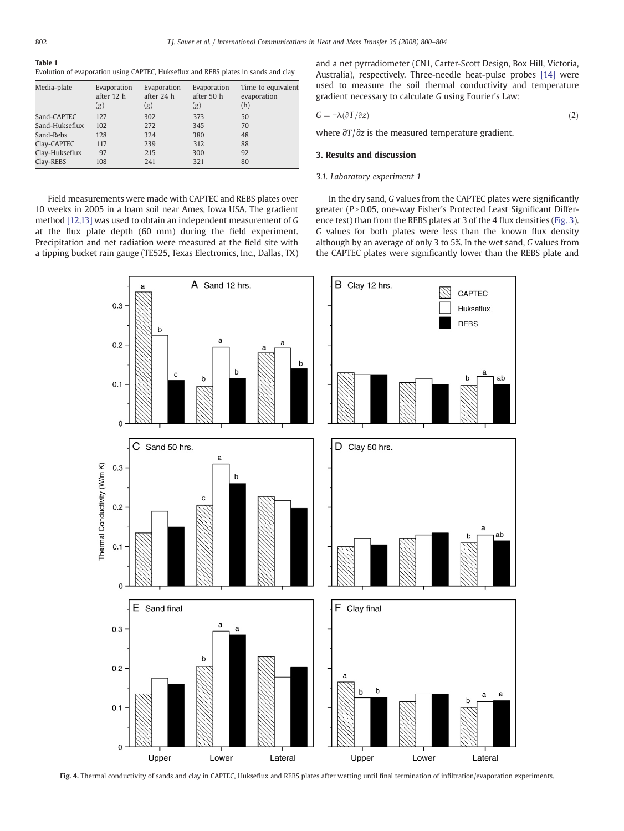## <span id="page-2-0"></span>Table 1

Evolution of evaporation using CAPTEC, Hukseflux and REBS plates in sands and clay

| Media-plate    | Evaporation<br>after 12 h<br>(g) | Evaporation<br>after 24 h<br>(g) | Evaporation<br>after 50 h<br>(g) | Time to equivalent<br>evaporation<br>(h) |
|----------------|----------------------------------|----------------------------------|----------------------------------|------------------------------------------|
| Sand-CAPTEC    | 127                              | 302                              | 373                              | 50                                       |
| Sand-Hukseflux | 102                              | 272                              | 345                              | 70                                       |
| Sand-Rebs      | 128                              | 324                              | 380                              | 48                                       |
| Clay-CAPTEC    | 117                              | 239                              | 312                              | 88                                       |
| Clay-Hukseflux | 97                               | 215                              | 300                              | 92                                       |
| Clay-REBS      | 108                              | 241                              | 321                              | 80                                       |

and a net pyrradiometer (CN1, Carter-Scott Design, Box Hill, Victoria, Australia), respectively. Three-needle heat-pulse probes [\[14\]](#page-4-0) were used to measure the soil thermal conductivity and temperature gradient necessary to calculate G using Fourier's Law:

$$
G = -\lambda(\partial T/\partial z) \tag{2}
$$

where  $\partial T/\partial z$  is the measured temperature gradient.

#### 3. Results and discussion

#### 3.1. Laboratory experiment 1

Field measurements were made with CAPTEC and REBS plates over 10 weeks in 2005 in a loam soil near Ames, Iowa USA. The gradient method [\[12,13\]](#page-4-0) was used to obtain an independent measurement of G at the flux plate depth (60 mm) during the field experiment. Precipitation and net radiation were measured at the field site with a tipping bucket rain gauge (TE525, Texas Electronics, Inc., Dallas, TX)

In the dry sand, G values from the CAPTEC plates were significantly greater ( $P > 0.05$ , one-way Fisher's Protected Least Significant Difference test) than from the REBS plates at 3 of the 4 flux densities [\(Fig. 3](#page-1-0)). G values for both plates were less than the known flux density although by an average of only 3 to 5%. In the wet sand, G values from the CAPTEC plates were significantly lower than the REBS plate and



Fig. 4. Thermal conductivity of sands and clay in CAPTEC, Hukseflux and REBS plates after wetting until final termination of infiltration/evaporation experiments.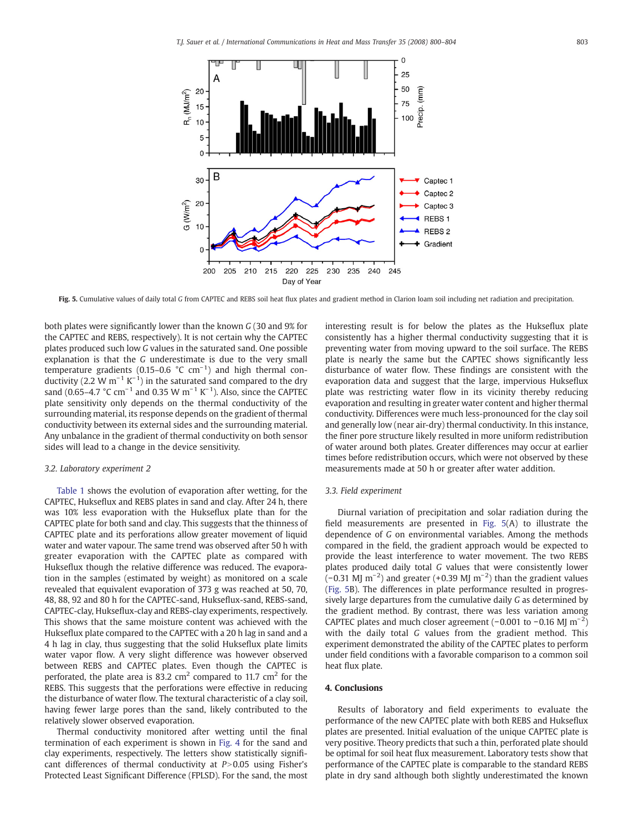

Fig. 5. Cumulative values of daily total G from CAPTEC and REBS soil heat flux plates and gradient method in Clarion loam soil including net radiation and precipitation.

both plates were significantly lower than the known G (30 and 9% for the CAPTEC and REBS, respectively). It is not certain why the CAPTEC plates produced such low G values in the saturated sand. One possible explanation is that the G underestimate is due to the very small temperature gradients (0.15–0.6  $°C$  cm<sup>-1</sup>) and high thermal conductivity (2.2 W m<sup>-1</sup> K<sup>-1</sup>) in the saturated sand compared to the dry sand (0.65–4.7 °C cm<sup>-1</sup> and 0.35 W m<sup>-1</sup> K<sup>-1</sup>). Also, since the CAPTEC plate sensitivity only depends on the thermal conductivity of the surrounding material, its response depends on the gradient of thermal conductivity between its external sides and the surrounding material. Any unbalance in the gradient of thermal conductivity on both sensor sides will lead to a change in the device sensitivity.

#### 3.2. Laboratory experiment 2

[Table 1](#page-2-0) shows the evolution of evaporation after wetting, for the CAPTEC, Hukseflux and REBS plates in sand and clay. After 24 h, there was 10% less evaporation with the Hukseflux plate than for the CAPTEC plate for both sand and clay. This suggests that the thinness of CAPTEC plate and its perforations allow greater movement of liquid water and water vapour. The same trend was observed after 50 h with greater evaporation with the CAPTEC plate as compared with Hukseflux though the relative difference was reduced. The evaporation in the samples (estimated by weight) as monitored on a scale revealed that equivalent evaporation of 373 g was reached at 50, 70, 48, 88, 92 and 80 h for the CAPTEC-sand, Hukseflux-sand, REBS-sand, CAPTEC-clay, Hukseflux-clay and REBS-clay experiments, respectively. This shows that the same moisture content was achieved with the Hukseflux plate compared to the CAPTEC with a 20 h lag in sand and a 4 h lag in clay, thus suggesting that the solid Hukseflux plate limits water vapor flow. A very slight difference was however observed between REBS and CAPTEC plates. Even though the CAPTEC is perforated, the plate area is 83.2  $\text{cm}^2$  compared to 11.7  $\text{cm}^2$  for the REBS. This suggests that the perforations were effective in reducing the disturbance of water flow. The textural characteristic of a clay soil, having fewer large pores than the sand, likely contributed to the relatively slower observed evaporation.

Thermal conductivity monitored after wetting until the final termination of each experiment is shown in [Fig. 4](#page-2-0) for the sand and clay experiments, respectively. The letters show statistically significant differences of thermal conductivity at  $P > 0.05$  using Fisher's Protected Least Significant Difference (FPLSD). For the sand, the most interesting result is for below the plates as the Hukseflux plate consistently has a higher thermal conductivity suggesting that it is preventing water from moving upward to the soil surface. The REBS plate is nearly the same but the CAPTEC shows significantly less disturbance of water flow. These findings are consistent with the evaporation data and suggest that the large, impervious Hukseflux plate was restricting water flow in its vicinity thereby reducing evaporation and resulting in greater water content and higher thermal conductivity. Differences were much less-pronounced for the clay soil and generally low (near air-dry) thermal conductivity. In this instance, the finer pore structure likely resulted in more uniform redistribution of water around both plates. Greater differences may occur at earlier times before redistribution occurs, which were not observed by these measurements made at 50 h or greater after water addition.

#### 3.3. Field experiment

Diurnal variation of precipitation and solar radiation during the field measurements are presented in Fig. 5(A) to illustrate the dependence of G on environmental variables. Among the methods compared in the field, the gradient approach would be expected to provide the least interference to water movement. The two REBS plates produced daily total G values that were consistently lower  $(-0.31 \text{ MJ m}^{-2})$  and greater  $(+0.39 \text{ MJ m}^{-2})$  than the gradient values (Fig. 5B). The differences in plate performance resulted in progressively large departures from the cumulative daily G as determined by the gradient method. By contrast, there was less variation among CAPTEC plates and much closer agreement (-0.001 to -0.16 MJ m<sup>-2</sup>) with the daily total G values from the gradient method. This experiment demonstrated the ability of the CAPTEC plates to perform under field conditions with a favorable comparison to a common soil heat flux plate.

#### 4. Conclusions

Results of laboratory and field experiments to evaluate the performance of the new CAPTEC plate with both REBS and Hukseflux plates are presented. Initial evaluation of the unique CAPTEC plate is very positive. Theory predicts that such a thin, perforated plate should be optimal for soil heat flux measurement. Laboratory tests show that performance of the CAPTEC plate is comparable to the standard REBS plate in dry sand although both slightly underestimated the known